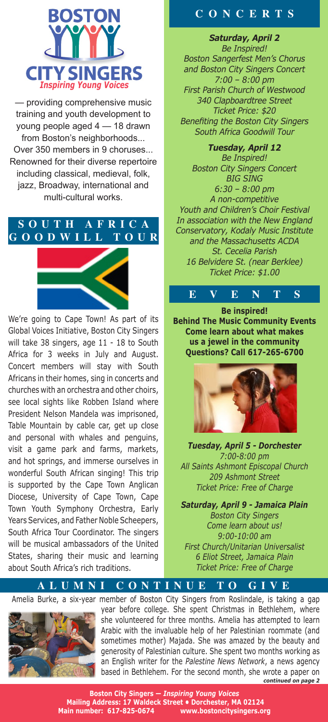

— providing comprehensive music training and youth development to young people aged 4 — 18 drawn from Boston's neighborhoods... Over 350 members in 9 choruses... Renowned for their diverse repertoire including classical, medieval, folk, jazz, Broadway, international and multi-cultural works.

## **S O U T H A F R I C A G O O D W I L L T O U R**



We're going to Cape Town! As part of its Global Voices Initiative, Boston City Singers will take 38 singers, age 11 - 18 to South Africa for 3 weeks in July and August. Concert members will stay with South Africans in their homes, sing in concerts and churches with an orchestra and other choirs, see local sights like Robben Island where President Nelson Mandela was imprisoned, Table Mountain by cable car, get up close and personal with whales and penguins, visit a game park and farms, markets, and hot springs, and immerse ourselves in wonderful South African singing! This trip is supported by the Cape Town Anglican Diocese, University of Cape Town, Cape Town Youth Symphony Orchestra, Early Years Services, and Father Noble Scheepers, South Africa Tour Coordinator. The singers will be musical ambassadors of the United States, sharing their music and learning about South Africa's rich traditions.

# **C O N C E R T S**

*Saturday, April 2 Be Inspired! Boston Sangerfest Men's Chorus and Boston City Singers Concert 7:00 – 8:00 pm First Parish Church of Westwood 340 Clapboardtree Street Ticket Price: \$20 Benefiting the Boston City Singers South Africa Goodwill Tour*

*Tuesday, April 12 Be Inspired! Boston City Singers Concert BIG SING 6:30 – 8:00 pm A non-competitive Youth and Children's Choir Festival In association with the New England Conservatory, Kodaly Music Institute and the Massachusetts ACDA St. Cecelia Parish 16 Belvidere St. (near Berklee) Ticket Price: \$1.00*

**E V E N T S Be inspired! Behind The Music Community Events Come learn about what makes us a jewel in the community Questions? Call 617-265-6700** 



*Tuesday, April 5 - Dorchester 7:00-8:00 pm All Saints Ashmont Episcopal Church 209 Ashmont Street Ticket Price: Free of Charge*

*Saturday, April 9 - Jamaica Plain Boston City Singers Come learn about us! 9:00-10:00 am First Church/Unitarian Universalist 6 Eliot Street, Jamaica Plain Ticket Price: Free of Charge*

**A L U M N I C O N T I N U E T O G I V E** 



*continued on page 2* Amelia Burke, a six-year member of Boston City Singers from Roslindale, is taking a gap year before college. She spent Christmas in Bethlehem, where she volunteered for three months. Amelia has attempted to learn Arabic with the invaluable help of her Palestinian roommate (and sometimes mother) Majada. She was amazed by the beauty and generosity of Palestinian culture. She spent two months working as an English writer for the *Palestine News Network*, a news agency based in Bethlehem. For the second month, she wrote a paper on

> **Boston City Singers —** *Inspiring Young Voices*  **Mailing Address: 17 Waldeck Street • Dorchester, MA 02124 Main number: 617-825-0674 www.bostoncitysingers.org**